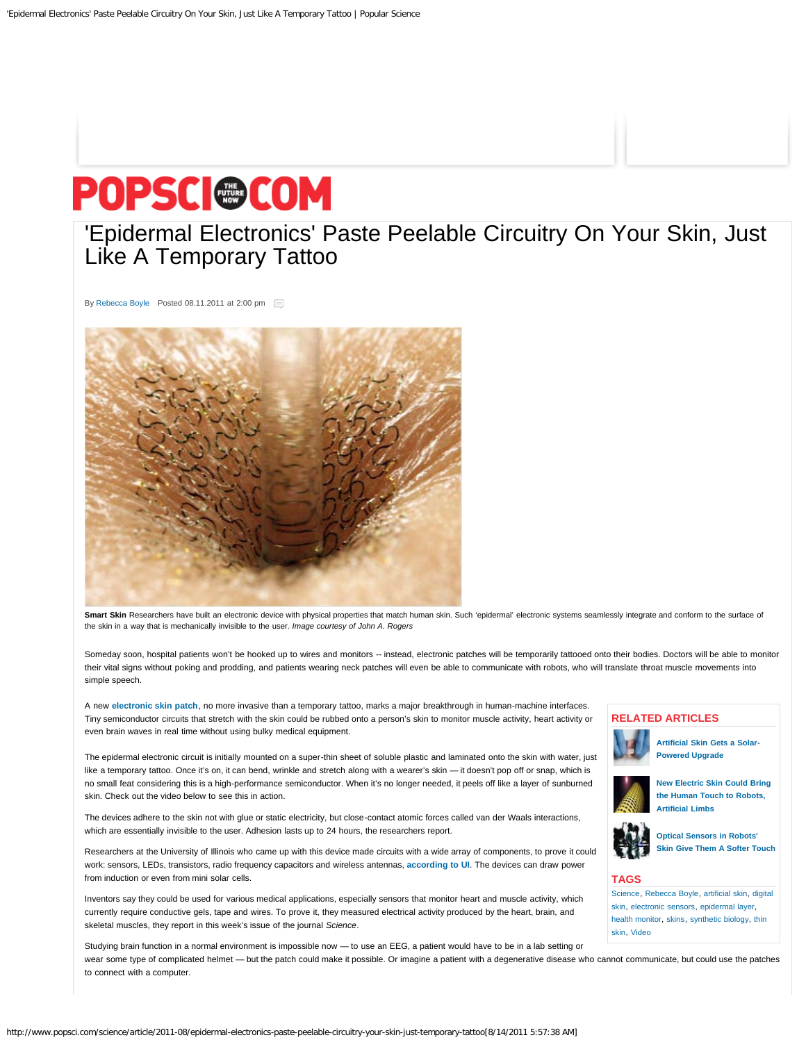# <span id="page-0-0"></span>POPSC @COM

## ['Epidermal Electronics' Paste Peelable Circuitry On Your Skin, Just](#page-0-0) [Like A Temporary Tattoo](#page-0-0)

By [Rebecca Boyle](http://www.popsci.com/category/popsci-authors/rebecca-boyle) Posted 08.11.2011 at 2:00 pm



Smart Skin Researchers have built an electronic device with physical properties that match human skin. Such 'epidermal' electronic systems seamlessly integrate and conform to the surface of the skin in a way that is mechanically invisible to the user. *Image courtesy of John A. Rogers*

Someday soon, hospital patients won't be hooked up to wires and monitors -- instead, electronic patches will be temporarily tattooed onto their bodies. Doctors will be able to monitor their vital signs without poking and prodding, and patients wearing neck patches will even be able to communicate with robots, who will translate throat muscle movements into simple speech.

A new **[electronic skin patch](http://www.eurekalert.org/emb_releases/2011-08/uoia-sse080511.php)**, no more invasive than a temporary tattoo, marks a major breakthrough in human-machine interfaces. Tiny semiconductor circuits that stretch with the skin could be rubbed onto a person's skin to monitor muscle activity, heart activity or even brain waves in real time without using bulky medical equipment.

The epidermal electronic circuit is initially mounted on a super-thin sheet of soluble plastic and laminated onto the skin with water, just like a temporary tattoo. Once it's on, it can bend, wrinkle and stretch along with a wearer's skin — it doesn't pop off or snap, which is no small feat considering this is a high-performance semiconductor. When it's no longer needed, it peels off like a layer of sunburned skin. Check out the video below to see this in action.

The devices adhere to the skin not with glue or static electricity, but close-contact atomic forces called van der Waals interactions, which are essentially invisible to the user. Adhesion lasts up to 24 hours, the researchers report.

Researchers at the University of Illinois who came up with this device made circuits with a wide array of components, to prove it could work: sensors, LEDs, transistors, radio frequency capacitors and wireless antennas, **[according to UI](http://www.eurekalert.org/emb_releases/2011-08/uoia-sse080511.php)**. The devices can draw power from induction or even from mini solar cells.

Inventors say they could be used for various medical applications, especially sensors that monitor heart and muscle activity, which currently require conductive gels, tape and wires. To prove it, they measured electrical activity produced by the heart, brain, and skeletal muscles, they report in this week's issue of the journal *Science*.

Studying brain function in a normal environment is impossible now — to use an EEG, a patient would have to be in a lab setting or wear some type of complicated helmet — but the patch could make it possible. Or imagine a patient with a degenerative disease who cannot communicate, but could use the patches to connect with a computer.

#### **RELATED ARTICLES**



**[Artificial Skin Gets a Solar-](http://www.popsci.com/technology/article/2011-02/artificial-skin-gets-solar-powered-upgrade)[Powered Upgrade](http://www.popsci.com/technology/article/2011-02/artificial-skin-gets-solar-powered-upgrade)**



**[New Electric Skin Could Bring](http://www.popsci.com/technology/article/2010-09/new-electric-skin-could-bring-human-touch-robots-and-aritifical-limbs) [the Human Touch to Robots,](http://www.popsci.com/technology/article/2010-09/new-electric-skin-could-bring-human-touch-robots-and-aritifical-limbs) [Artificial Limbs](http://www.popsci.com/technology/article/2010-09/new-electric-skin-could-bring-human-touch-robots-and-aritifical-limbs)**



**[Optical Sensors in Robots'](http://www.popsci.com/technology/article/2009-12/optical-sensors-give-robots-softer-touch) [Skin Give Them A Softer Touch](http://www.popsci.com/technology/article/2009-12/optical-sensors-give-robots-softer-touch)**

#### **TAGS**

[Science,](http://www.popsci.com/science) [Rebecca Boyle](http://www.popsci.com/category/popsci-authors/rebecca-boyle), [artificial skin](http://www.popsci.com/category/tags/artificial-skin), [digital](http://www.popsci.com/category/tags/digital-skin) [skin,](http://www.popsci.com/category/tags/digital-skin) [electronic sensors](http://www.popsci.com/category/tags/electronic-sensors), [epidermal layer](http://www.popsci.com/category/tags/epidermal-layer), [health monitor,](http://www.popsci.com/category/tags/health-monitor) [skins,](http://www.popsci.com/category/tags/skins) [synthetic biology,](http://www.popsci.com/category/tags/synthetic-biology) [thin](http://www.popsci.com/category/tags/thin-skin) [skin,](http://www.popsci.com/category/tags/thin-skin) [Video](http://www.popsci.com/category/tags/video)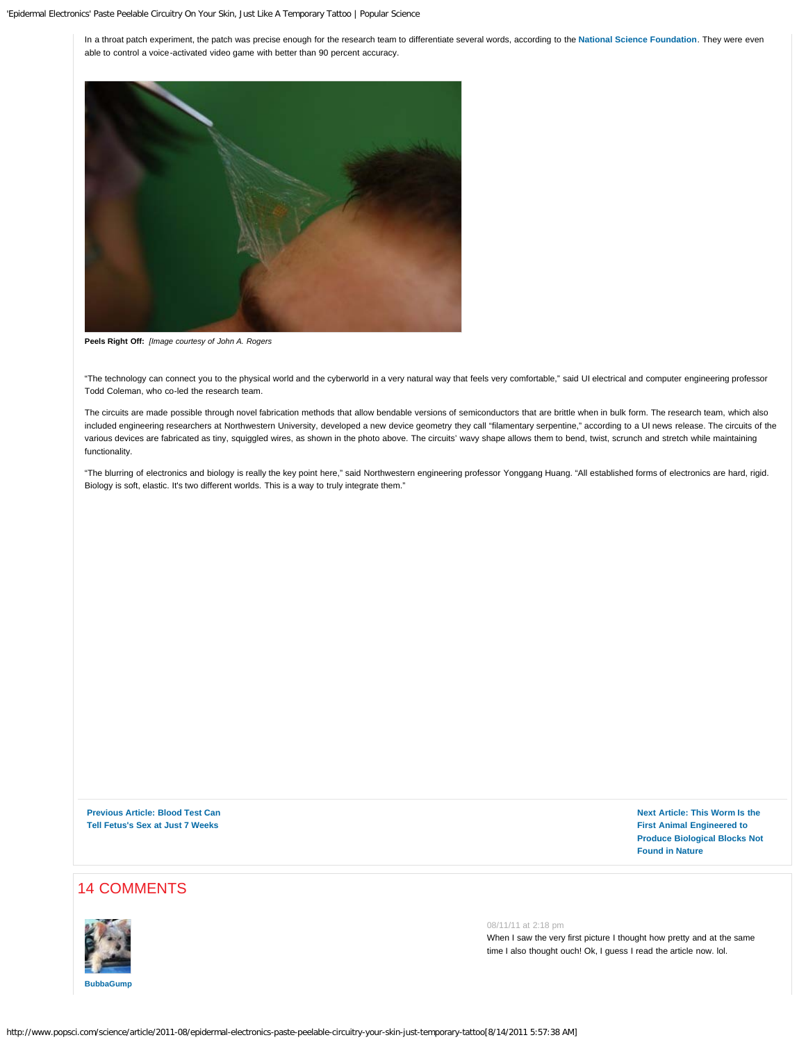In a throat patch experiment, the patch was precise enough for the research team to differentiate several words, according to the **[National Science Foundation](http://www.eurekalert.org/emb_releases/2011-08/nsf-stg_1080411.php)**. They were even able to control a voice-activated video game with better than 90 percent accuracy.



**Peels Right Off:** *[Image courtesy of John A. Rogers*

"The technology can connect you to the physical world and the cyberworld in a very natural way that feels very comfortable," said UI electrical and computer engineering professor Todd Coleman, who co-led the research team.

The circuits are made possible through novel fabrication methods that allow bendable versions of semiconductors that are brittle when in bulk form. The research team, which also included engineering researchers at Northwestern University, developed a new device geometry they call "filamentary serpentine," according to a UI news release. The circuits of the various devices are fabricated as tiny, squiggled wires, as shown in the photo above. The circuits' wavy shape allows them to bend, twist, scrunch and stretch while maintaining functionality.

"The blurring of electronics and biology is really the key point here," said Northwestern engineering professor Yonggang Huang. "All established forms of electronics are hard, rigid. Biology is soft, elastic. It's two different worlds. This is a way to truly integrate them."

**[Previous Article: Blood Test Can](http://www.popsci.com/science/article/2011-08/blood-test-can-tell-babys-sex-just-7-weeks) [Tell Fetus's Sex at Just 7 Weeks](http://www.popsci.com/science/article/2011-08/blood-test-can-tell-babys-sex-just-7-weeks)**

**[Next Article: This Worm Is the](http://www.popsci.com/science/article/2011-08/first-animal-modified-produce-biological-blocks-not-found-nature) [First Animal Engineered to](http://www.popsci.com/science/article/2011-08/first-animal-modified-produce-biological-blocks-not-found-nature) [Produce Biological Blocks Not](http://www.popsci.com/science/article/2011-08/first-animal-modified-produce-biological-blocks-not-found-nature) [Found in Nature](http://www.popsci.com/science/article/2011-08/first-animal-modified-produce-biological-blocks-not-found-nature)**

### 14 COMMENTS

<span id="page-1-0"></span>

08/11/11 at 2:18 pm

When I saw the very first picture I thought how pretty and at the same time I also thought ouch! Ok, I guess I read the article now. lol.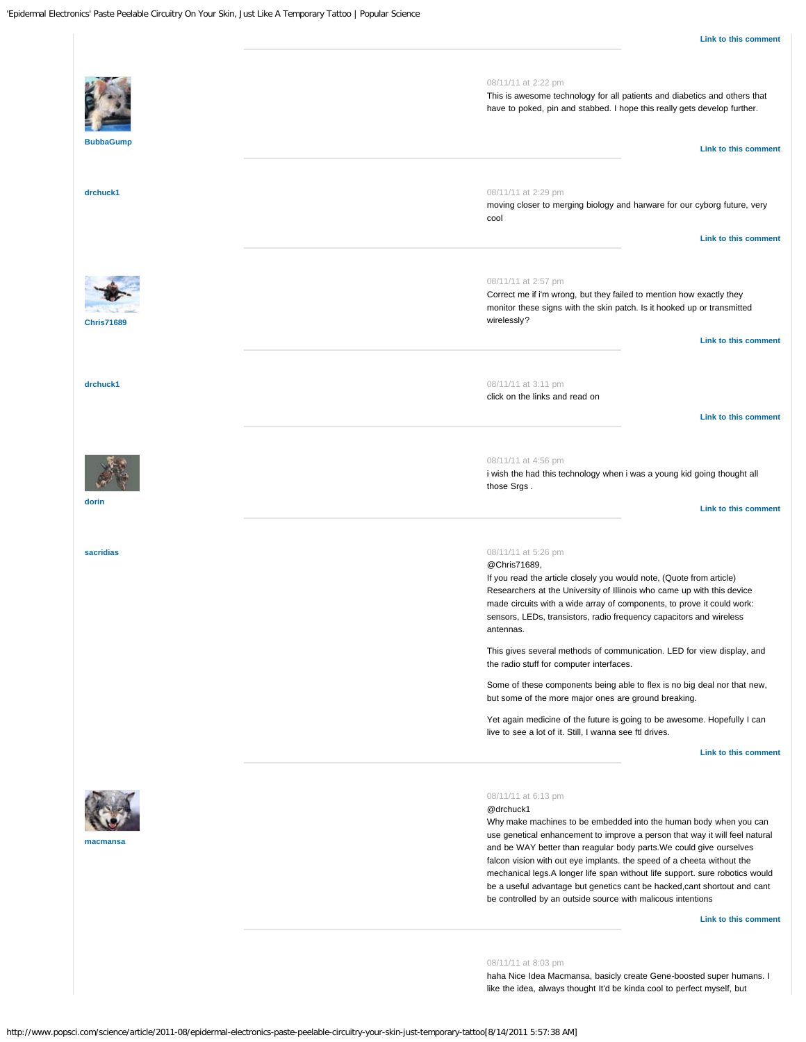<span id="page-2-5"></span><span id="page-2-4"></span><span id="page-2-3"></span><span id="page-2-2"></span><span id="page-2-1"></span><span id="page-2-0"></span>

<span id="page-2-7"></span><span id="page-2-6"></span>haha Nice Idea Macmansa, basicly create Gene-boosted super humans. I like the idea, always thought It'd be kinda cool to perfect myself, but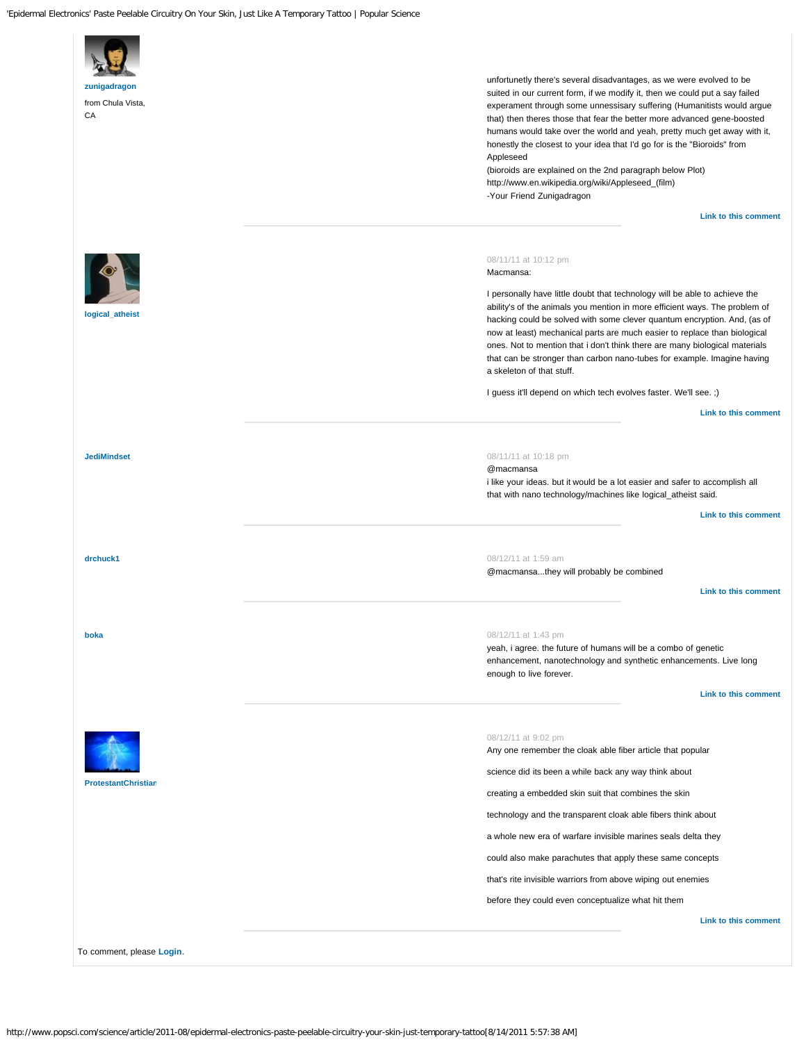<span id="page-3-4"></span><span id="page-3-3"></span><span id="page-3-2"></span><span id="page-3-1"></span><span id="page-3-0"></span>